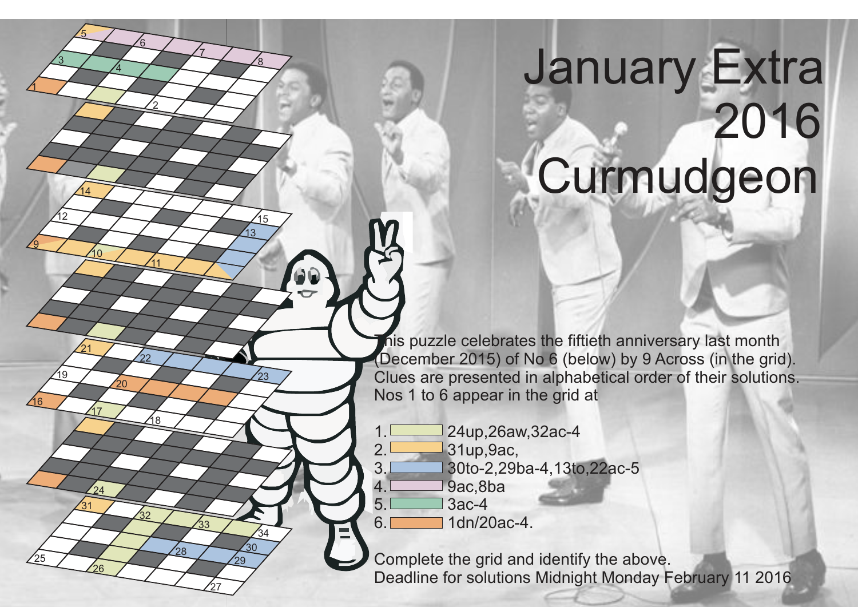## January Extra 2016 Curmudgeon

his puzzle celebrates the fiftieth anniversary last month (December 2015) of No 6 (below) by 9 Across (in the grid). Clues are presented in alphabetical order of their solutions. Nos 1 to 6 appear in the grid at

- $1.$  24up,26aw,32ac-4<br>2. 31up.9ac. 2. 31up,9ac, 3. 30to-2,29ba-4,13to,22ac-5 4. 9ac,8ba
- $5. \Box$  3ac-4 6. 1dn/20ac-4.

1

16

25

 $\overline{19}$ 

3

5

14

 $\overline{10}$ 

12

<u>ପ</u>

17

 $24$ 

31

26

21

20

2

11

<u> 18</u>

.<br>32

22

7

8

13

,<br>15

23

27

33

29 30  $^{34}$ 

28

<u>6</u>

 $\overline{4}$ 

Complete the grid and identify the above. Deadline for solutions Midnight Monday February 11 2016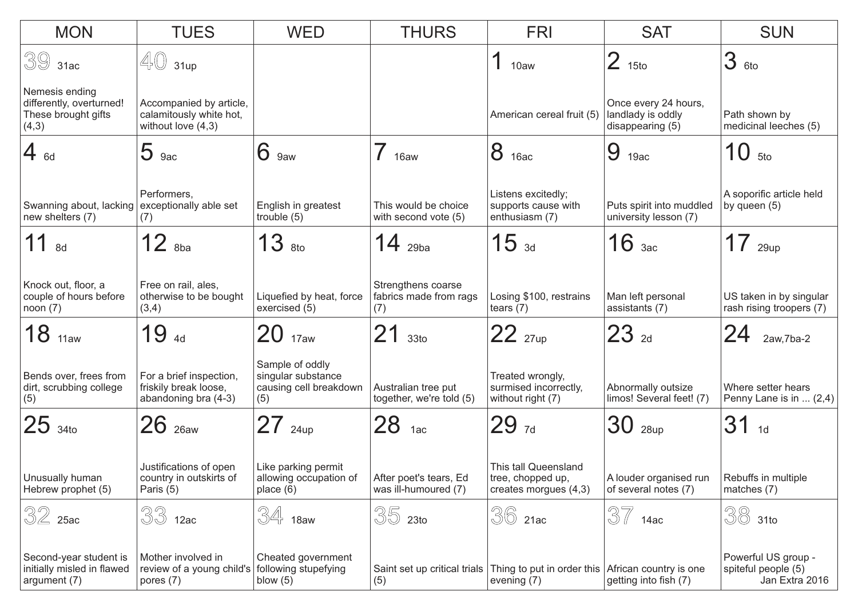| <b>MON</b>                                                                 | <b>TUES</b>                                                                | <b>WED</b>                                                             | <b>THURS</b>                                        | <b>FRI</b>                                                                                    | <b>SAT</b>                                                    | <b>SUN</b>                                                   |
|----------------------------------------------------------------------------|----------------------------------------------------------------------------|------------------------------------------------------------------------|-----------------------------------------------------|-----------------------------------------------------------------------------------------------|---------------------------------------------------------------|--------------------------------------------------------------|
| $393$ 1ac                                                                  | $\mathbb{4}$ 31up                                                          |                                                                        |                                                     | 1<br>10aw                                                                                     | $\overline{2}$<br>15to                                        | 3 <sub>6to</sub>                                             |
| Nemesis ending<br>differently, overturned!<br>These brought gifts<br>(4,3) | Accompanied by article,<br>calamitously white hot,<br>without love $(4,3)$ |                                                                        |                                                     | American cereal fruit (5)                                                                     | Once every 24 hours,<br>landlady is oddly<br>disappearing (5) | Path shown by<br>medicinal leeches (5)                       |
| $4_{6d}$                                                                   | 5<br>9ac                                                                   | 6<br>9aw                                                               | 16aw                                                | 8<br>16ac                                                                                     | 9<br>19ac                                                     | 10<br>5to                                                    |
| Swanning about, lacking exceptionally able set<br>new shelters (7)         | Performers,<br>(7)                                                         | English in greatest<br>trouble $(5)$                                   | This would be choice<br>with second vote (5)        | Listens excitedly;<br>supports cause with<br>enthusiasm (7)                                   | Puts spirit into muddled<br>university lesson (7)             | A soporific article held<br>by queen (5)                     |
| 8d                                                                         | $12$ $_{8ba}$                                                              | 13<br>8to                                                              | $14$ 29ba                                           | 15 <sub>3d</sub>                                                                              | $16$ <sub>3ac</sub>                                           | $17$ 29up                                                    |
| Knock out, floor, a<br>couple of hours before<br>noon(7)                   | Free on rail, ales,<br>otherwise to be bought<br>(3,4)                     | Liquefied by heat, force<br>exercised (5)                              | Strengthens coarse<br>fabrics made from rags<br>(7) | Losing \$100, restrains<br>tears $(7)$                                                        | Man left personal<br>assistants (7)                           | US taken in by singular<br>rash rising troopers (7)          |
| 18<br>11aw                                                                 | 194d                                                                       | $20$ <sub>17aw</sub>                                                   | 33 <sub>to</sub>                                    | $22_{27up}$                                                                                   | $23_{2d}$                                                     | 24<br>$2aw, 7ba-2$                                           |
| Bends over, frees from<br>dirt, scrubbing college<br>(5)                   | For a brief inspection,<br>friskily break loose,<br>abandoning bra (4-3)   | Sample of oddly<br>singular substance<br>causing cell breakdown<br>(5) | Australian tree put<br>together, we're told (5)     | Treated wrongly,<br>surmised incorrectly,<br>without right (7)                                | Abnormally outsize<br>limos! Several feet! (7)                | Where setter hears<br>Penny Lane is in  (2,4)                |
| $25_{340}$                                                                 | $26$ $_{26aw}$                                                             | 24up                                                                   | 28<br>1ac                                           | 297d                                                                                          | 30<br>28up                                                    | 31<br>1d                                                     |
| Unusually human<br>Hebrew prophet (5)                                      | Justifications of open<br>country in outskirts of<br>Paris (5)             | Like parking permit<br>allowing occupation of<br>place $(6)$           | After poet's tears, Ed<br>was ill-humoured (7)      | This tall Queensland<br>tree, chopped up,<br>creates morgues (4,3)                            | A louder organised run<br>of several notes (7)                | Rebuffs in multiple<br>matches (7)                           |
| $32$ 25ac                                                                  | 33<br>12ac                                                                 | 34<br>18aw                                                             | 35<br>23 <sub>to</sub>                              | 36<br>21ac                                                                                    | 37<br>14ac                                                    | 38<br>31to                                                   |
| Second-year student is<br>initially misled in flawed<br>argument (7)       | Mother involved in<br>review of a young child's<br>pores (7)               | Cheated government<br>following stupefying<br>blow $(5)$               | (5)                                                 | Saint set up critical trials Thing to put in order this African country is one<br>evening (7) | getting into fish (7)                                         | Powerful US group -<br>spiteful people (5)<br>Jan Extra 2016 |